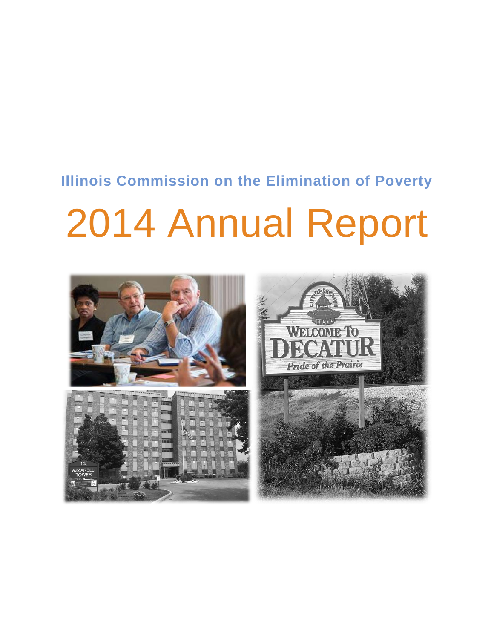# **Illinois Commission on the Elimination of Poverty**

# 2014 Annual Report

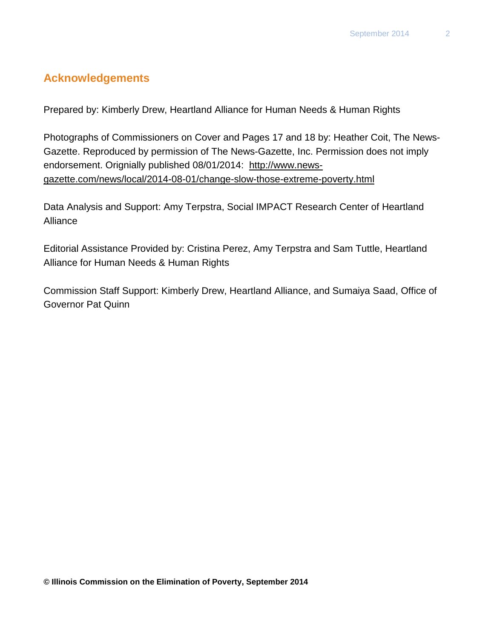# **Acknowledgements**

Prepared by: Kimberly Drew, Heartland Alliance for Human Needs & Human Rights

Photographs of Commissioners on Cover and Pages 17 and 18 by: Heather Coit, The News-Gazette. Reproduced by permission of The News-Gazette, Inc. Permission does not imply endorsement. Orignially published 08/01/2014: [http://www.news](http://www.news-gazette.com/news/local/2014-08-01/change-slow-those-extreme-poverty.html)[gazette.com/news/local/2014-08-01/change-slow-those-extreme-poverty.html](http://www.news-gazette.com/news/local/2014-08-01/change-slow-those-extreme-poverty.html)

Data Analysis and Support: Amy Terpstra, Social IMPACT Research Center of Heartland Alliance

Editorial Assistance Provided by: Cristina Perez, Amy Terpstra and Sam Tuttle, Heartland Alliance for Human Needs & Human Rights

Commission Staff Support: Kimberly Drew, Heartland Alliance, and Sumaiya Saad, Office of Governor Pat Quinn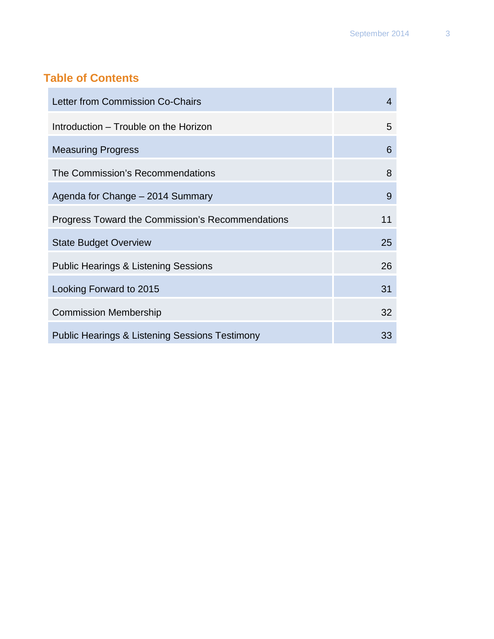# **Table of Contents**

**COL** 

| Letter from Commission Co-Chairs                          | 4  |
|-----------------------------------------------------------|----|
| Introduction – Trouble on the Horizon                     | 5  |
| <b>Measuring Progress</b>                                 | 6  |
| The Commission's Recommendations                          | 8  |
| Agenda for Change - 2014 Summary                          | 9  |
| Progress Toward the Commission's Recommendations          | 11 |
| <b>State Budget Overview</b>                              | 25 |
| <b>Public Hearings &amp; Listening Sessions</b>           | 26 |
| Looking Forward to 2015                                   | 31 |
| <b>Commission Membership</b>                              | 32 |
| <b>Public Hearings &amp; Listening Sessions Testimony</b> | 33 |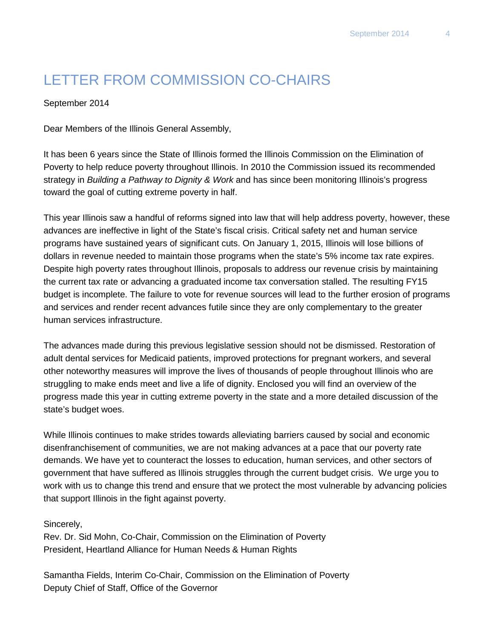# LETTER FROM COMMISSION CO-CHAIRS

September 2014

Dear Members of the Illinois General Assembly,

It has been 6 years since the State of Illinois formed the Illinois Commission on the Elimination of Poverty to help reduce poverty throughout Illinois. In 2010 the Commission issued its recommended strategy in *Building a Pathway to Dignity & Work* and has since been monitoring Illinois's progress toward the goal of cutting extreme poverty in half.

This year Illinois saw a handful of reforms signed into law that will help address poverty, however, these advances are ineffective in light of the State's fiscal crisis. Critical safety net and human service programs have sustained years of significant cuts. On January 1, 2015, Illinois will lose billions of dollars in revenue needed to maintain those programs when the state's 5% income tax rate expires. Despite high poverty rates throughout Illinois, proposals to address our revenue crisis by maintaining the current tax rate or advancing a graduated income tax conversation stalled. The resulting FY15 budget is incomplete. The failure to vote for revenue sources will lead to the further erosion of programs and services and render recent advances futile since they are only complementary to the greater human services infrastructure.

The advances made during this previous legislative session should not be dismissed. Restoration of adult dental services for Medicaid patients, improved protections for pregnant workers, and several other noteworthy measures will improve the lives of thousands of people throughout Illinois who are struggling to make ends meet and live a life of dignity. Enclosed you will find an overview of the progress made this year in cutting extreme poverty in the state and a more detailed discussion of the state's budget woes.

While Illinois continues to make strides towards alleviating barriers caused by social and economic disenfranchisement of communities, we are not making advances at a pace that our poverty rate demands. We have yet to counteract the losses to education, human services, and other sectors of government that have suffered as Illinois struggles through the current budget crisis. We urge you to work with us to change this trend and ensure that we protect the most vulnerable by advancing policies that support Illinois in the fight against poverty.

#### Sincerely,

Rev. Dr. Sid Mohn, Co-Chair, Commission on the Elimination of Poverty President, Heartland Alliance for Human Needs & Human Rights

Samantha Fields, Interim Co-Chair, Commission on the Elimination of Poverty Deputy Chief of Staff, Office of the Governor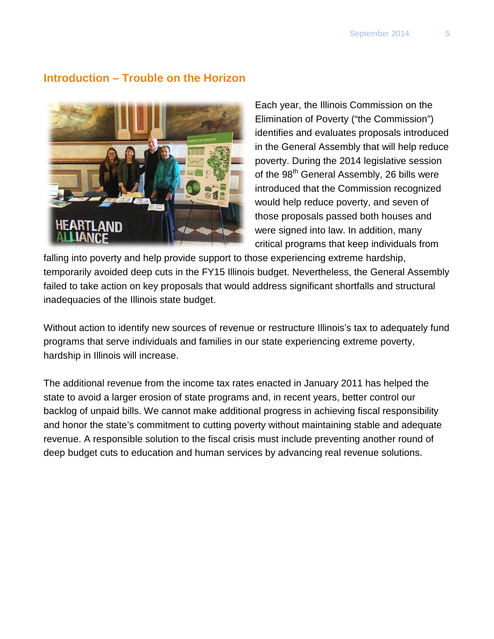#### **Introduction – Trouble on the Horizon**



Each year, the Illinois Commission on the Elimination of Poverty ("the Commission") identifies and evaluates proposals introduced in the General Assembly that will help reduce poverty. During the 2014 legislative session of the 98<sup>th</sup> General Assembly, 26 bills were introduced that the Commission recognized would help reduce poverty, and seven of those proposals passed both houses and were signed into law. In addition, many critical programs that keep individuals from

falling into poverty and help provide support to those experiencing extreme hardship, temporarily avoided deep cuts in the FY15 Illinois budget. Nevertheless, the General Assembly failed to take action on key proposals that would address significant shortfalls and structural inadequacies of the Illinois state budget.

Without action to identify new sources of revenue or restructure Illinois's tax to adequately fund programs that serve individuals and families in our state experiencing extreme poverty, hardship in Illinois will increase.

The additional revenue from the income tax rates enacted in January 2011 has helped the state to avoid a larger erosion of state programs and, in recent years, better control our backlog of unpaid bills. We cannot make additional progress in achieving fiscal responsibility and honor the state's commitment to cutting poverty without maintaining stable and adequate revenue. A responsible solution to the fiscal crisis must include preventing another round of deep budget cuts to education and human services by advancing real revenue solutions.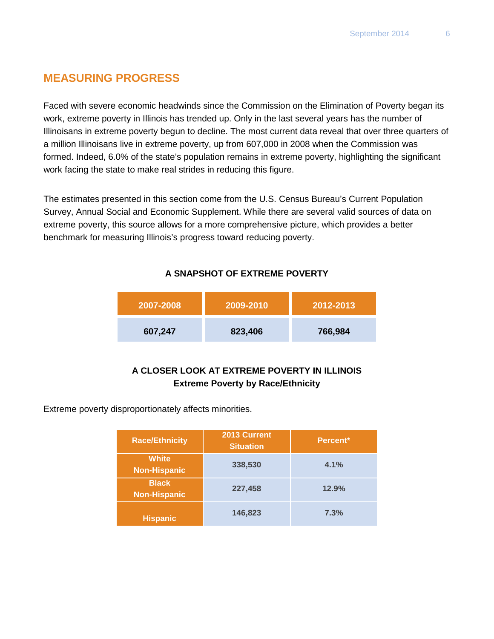# **MEASURING PROGRESS**

Faced with severe economic headwinds since the Commission on the Elimination of Poverty began its work, extreme poverty in Illinois has trended up. Only in the last several years has the number of Illinoisans in extreme poverty begun to decline. The most current data reveal that over three quarters of a million Illinoisans live in extreme poverty, up from 607,000 in 2008 when the Commission was formed. Indeed, 6.0% of the state's population remains in extreme poverty, highlighting the significant work facing the state to make real strides in reducing this figure.

The estimates presented in this section come from the U.S. Census Bureau's Current Population Survey, Annual Social and Economic Supplement. While there are several valid sources of data on extreme poverty, this source allows for a more comprehensive picture, which provides a better benchmark for measuring Illinois's progress toward reducing poverty.

#### **A SNAPSHOT OF EXTREME POVERTY**

| 2007-2008 | $12009 - 2010$ | 2012-2013 |
|-----------|----------------|-----------|
| 607,247   | 823,406        | 766,984   |

#### **A CLOSER LOOK AT EXTREME POVERTY IN ILLINOIS Extreme Poverty by Race/Ethnicity**

Extreme poverty disproportionately affects minorities.

| <b>Race/Ethnicity</b>               | 2013 Current<br><b>Situation</b> | Percent <sup>*</sup> |
|-------------------------------------|----------------------------------|----------------------|
| <b>White</b><br><b>Non-Hispanic</b> | 338,530                          | 4.1%                 |
| <b>Black</b><br><b>Non-Hispanic</b> | 227,458                          | 12.9%                |
| <b>Hispanic</b>                     | 146,823                          | 7.3%                 |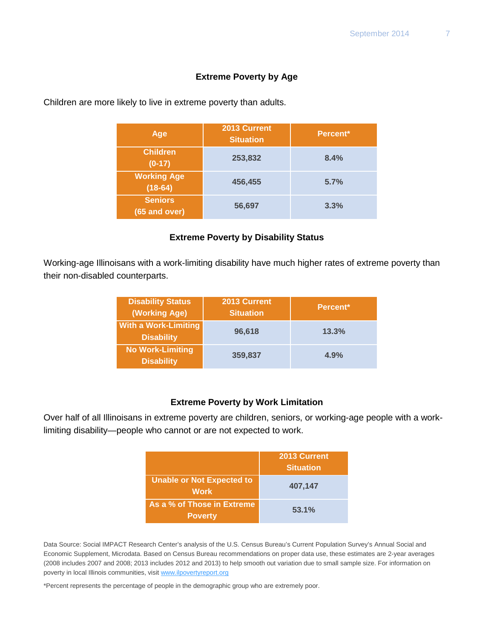#### **Extreme Poverty by Age**

| Age                             | 2013 Current<br><b>Situation</b> | Percent <sup>*</sup> |
|---------------------------------|----------------------------------|----------------------|
| <b>Children</b><br>$(0-17)$     | 253,832                          | 8.4%                 |
| <b>Working Age</b><br>$(18-64)$ | 456,455                          | 5.7%                 |
| <b>Seniors</b><br>(65 and over) | 56,697                           | 3.3%                 |

Children are more likely to live in extreme poverty than adults.

#### **Extreme Poverty by Disability Status**

Working-age Illinoisans with a work-limiting disability have much higher rates of extreme poverty than their non-disabled counterparts.

| <b>Disability Status</b><br>(Working Age)        | 2013 Current<br><b>Situation</b> | Percent <sup>*</sup> |
|--------------------------------------------------|----------------------------------|----------------------|
| <b>With a Work-Limiting</b><br><b>Disability</b> | 96,618                           | 13.3%                |
| <b>No Work-Limiting</b><br><b>Disability</b>     | 359,837                          | 4.9%                 |

#### **Extreme Poverty by Work Limitation**

Over half of all Illinoisans in extreme poverty are children, seniors, or working-age people with a worklimiting disability—people who cannot or are not expected to work.

|                                              | 2013 Current<br><b>Situation</b> |
|----------------------------------------------|----------------------------------|
| Unable or Not Expected to<br><b>Work</b>     | 407,147                          |
| As a % of Those in Extreme<br><b>Poverty</b> | 53.1%                            |

Data Source: Social IMPACT Research Center's analysis of the U.S. Census Bureau's Current Population Survey's Annual Social and Economic Supplement, Microdata. Based on Census Bureau recommendations on proper data use, these estimates are 2-year averages (2008 includes 2007 and 2008; 2013 includes 2012 and 2013) to help smooth out variation due to small sample size. For information on poverty in local Illinois communities, visi[t www.ilpovertyreport.org](http://www.ilpovertyreport.org/)

\*Percent represents the percentage of people in the demographic group who are extremely poor.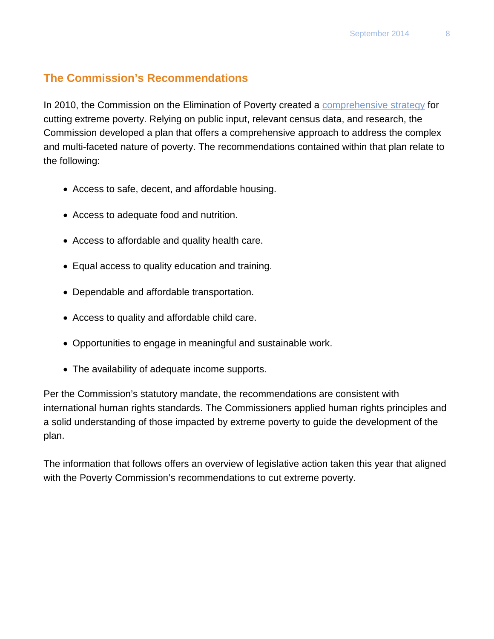#### **The Commission's Recommendations**

In 2010, the Commission on the Elimination of Poverty created a [comprehensive strategy](http://www2.illinois.gov/poverty/Documents/Building%20a%20Pathway%20to%20Dignity%20%20Work%20-%20Commission%20on%20the%20Elimnation%20of%20Poverty%20Plan.pdf) for cutting extreme poverty. Relying on public input, relevant census data, and research, the Commission developed a plan that offers a comprehensive approach to address the complex and multi-faceted nature of poverty. The recommendations contained within that plan relate to the following:

- Access to safe, decent, and affordable housing.
- Access to adequate food and nutrition.
- Access to affordable and quality health care.
- Equal access to quality education and training.
- Dependable and affordable transportation.
- Access to quality and affordable child care.
- Opportunities to engage in meaningful and sustainable work.
- The availability of adequate income supports.

Per the Commission's statutory mandate, the recommendations are consistent with international human rights standards. The Commissioners applied human rights principles and a solid understanding of those impacted by extreme poverty to guide the development of the plan.

The information that follows offers an overview of legislative action taken this year that aligned with the Poverty Commission's recommendations to cut extreme poverty.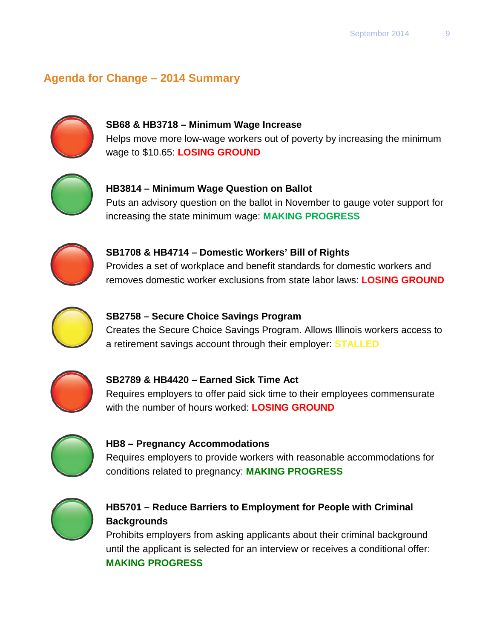# **Agenda for Change – 2014 Summary**



#### **SB68 & HB3718 – Minimum Wage Increase** Helps move more low-wage workers out of poverty by increasing the minimum wage to \$10.65: **LOSING GROUND**



**HB3814 – Minimum Wage Question on Ballot** Puts an advisory question on the ballot in November to gauge voter support for increasing the state minimum wage: **MAKING PROGRESS**



# **SB1708 & HB4714 – Domestic Workers' Bill of Rights**

Provides a set of workplace and benefit standards for domestic workers and removes domestic worker exclusions from state labor laws: **LOSING GROUND**



# **SB2758 – Secure Choice Savings Program**

Creates the Secure Choice Savings Program. Allows Illinois workers access to a retirement savings account through their employer: **STALLED**



# **SB2789 & HB4420 – Earned Sick Time Act**

Requires employers to offer paid sick time to their employees commensurate with the number of hours worked: **LOSING GROUND**



#### **HB8 – Pregnancy Accommodations**

Requires employers to provide workers with reasonable accommodations for conditions related to pregnancy: **MAKING PROGRESS**



#### **HB5701 – Reduce Barriers to Employment for People with Criminal Backgrounds**

Prohibits employers from asking applicants about their criminal background until the applicant is selected for an interview or receives a conditional offer: **MAKING PROGRESS**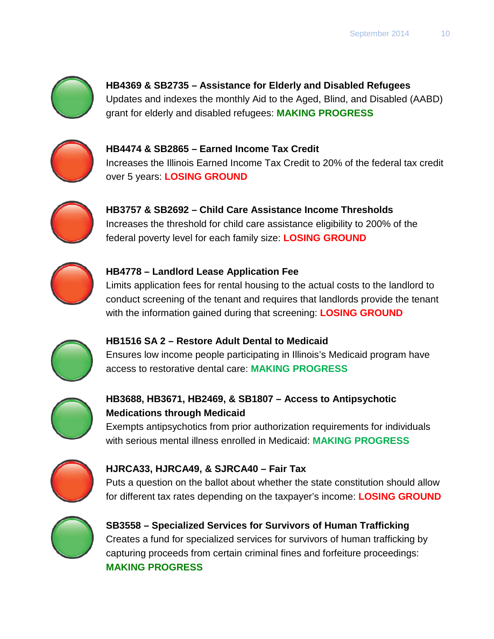

**HB4369 & SB2735 – Assistance for Elderly and Disabled Refugees**  Updates and indexes the monthly Aid to the Aged, Blind, and Disabled (AABD) grant for elderly and disabled refugees: **MAKING PROGRESS**



**HB4474 & SB2865 – Earned Income Tax Credit** Increases the Illinois Earned Income Tax Credit to 20% of the federal tax credit over 5 years: **LOSING GROUND**



**HB3757 & SB2692 – Child Care Assistance Income Thresholds** Increases the threshold for child care assistance eligibility to 200% of the federal poverty level for each family size: **LOSING GROUND**



#### **HB4778 – Landlord Lease Application Fee**

Limits application fees for rental housing to the actual costs to the landlord to conduct screening of the tenant and requires that landlords provide the tenant with the information gained during that screening: **LOSING GROUND**



#### **HB1516 SA 2 – Restore Adult Dental to Medicaid**

Ensures low income people participating in Illinois's Medicaid program have access to restorative dental care: **MAKING PROGRESS**



## **HB3688, HB3671, HB2469, & SB1807 – Access to Antipsychotic Medications through Medicaid**

Exempts antipsychotics from prior authorization requirements for individuals with serious mental illness enrolled in Medicaid: **MAKING PROGRESS**



#### **HJRCA33, HJRCA49, & SJRCA40 – Fair Tax**

Puts a question on the ballot about whether the state constitution should allow for different tax rates depending on the taxpayer's income: **LOSING GROUND**



**SB3558 – Specialized Services for Survivors of Human Trafficking** Creates a fund for specialized services for survivors of human trafficking by capturing proceeds from certain criminal fines and forfeiture proceedings: **MAKING PROGRESS**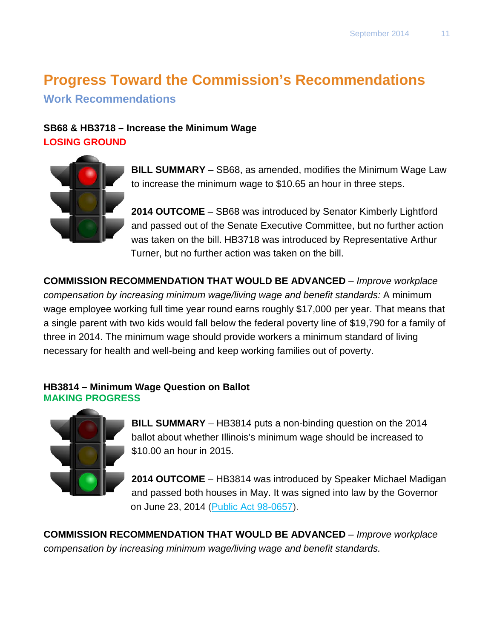# **Progress Toward the Commission's Recommendations**

**Work Recommendations**

#### **SB68 & HB3718 – Increase the Minimum Wage LOSING GROUND**



**BILL SUMMARY** – SB68, as amended, modifies the Minimum Wage Law to increase the minimum wage to \$10.65 an hour in three steps.

**2014 OUTCOME** – SB68 was introduced by Senator Kimberly Lightford and passed out of the Senate Executive Committee, but no further action was taken on the bill. HB3718 was introduced by Representative Arthur Turner, but no further action was taken on the bill.

**COMMISSION RECOMMENDATION THAT WOULD BE ADVANCED** *– Improve workplace compensation by increasing minimum wage/living wage and benefit standards:* A minimum wage employee working full time year round earns roughly \$17,000 per year. That means that a single parent with two kids would fall below the federal poverty line of \$19,790 for a family of three in 2014. The minimum wage should provide workers a minimum standard of living necessary for health and well-being and keep working families out of poverty.

#### **HB3814 – Minimum Wage Question on Ballot MAKING PROGRESS**



**BILL SUMMARY** – HB3814 puts a non-binding question on the 2014 ballot about whether Illinois's minimum wage should be increased to \$10.00 an hour in 2015.

**2014 OUTCOME** – HB3814 was introduced by Speaker Michael Madigan and passed both houses in May. It was signed into law by the Governor on June 23, 2014 [\(Public Act 98-0657\)](http://www.ilga.gov/legislation/publicacts/fulltext.asp?Name=098-0657).

**COMMISSION RECOMMENDATION THAT WOULD BE ADVANCED** *– Improve workplace compensation by increasing minimum wage/living wage and benefit standards.*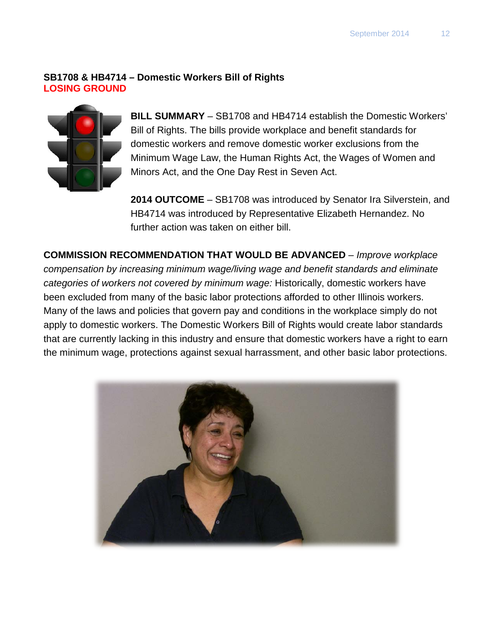#### **SB1708 & HB4714 – Domestic Workers Bill of Rights LOSING GROUND**



**BILL SUMMARY** – SB1708 and HB4714 establish the Domestic Workers' Bill of Rights. The bills provide workplace and benefit standards for domestic workers and remove domestic worker exclusions from the Minimum Wage Law, the Human Rights Act, the Wages of Women and Minors Act, and the One Day Rest in Seven Act.

**2014 OUTCOME** – SB1708 was introduced by Senator Ira Silverstein, and HB4714 was introduced by Representative Elizabeth Hernandez. No further action was taken on either bill.

**COMMISSION RECOMMENDATION THAT WOULD BE ADVANCED** *– Improve workplace compensation by increasing minimum wage/living wage and benefit standards and eliminate categories of workers not covered by minimum wage:* Historically, domestic workers have been excluded from many of the basic labor protections afforded to other Illinois workers. Many of the laws and policies that govern pay and conditions in the workplace simply do not apply to domestic workers. The Domestic Workers Bill of Rights would create labor standards that are currently lacking in this industry and ensure that domestic workers have a right to earn the minimum wage, protections against sexual harrassment, and other basic labor protections.

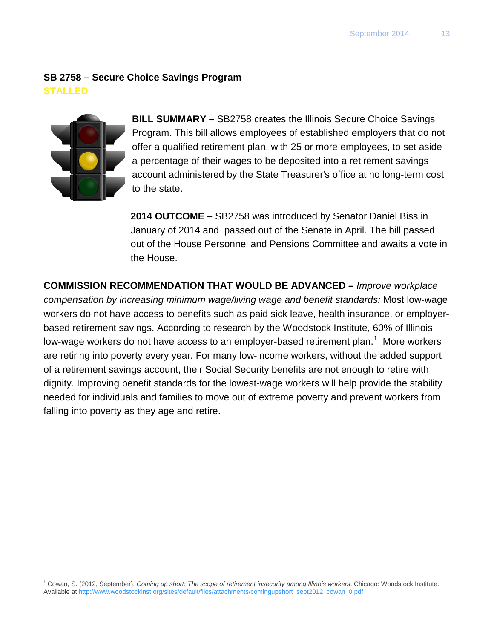## **SB 2758 – Secure Choice Savings Program STALLED**



 $\overline{a}$ 

**BILL SUMMARY –** SB2758 creates the Illinois Secure Choice Savings Program. This bill allows employees of established employers that do not offer a qualified retirement plan, with 25 or more employees, to set aside a percentage of their wages to be deposited into a retirement savings account administered by the State Treasurer's office at no long-term cost to the state.

**2014 OUTCOME –** SB2758 was introduced by Senator Daniel Biss in January of 2014 and passed out of the Senate in April. The bill passed out of the House Personnel and Pensions Committee and awaits a vote in the House.

**COMMISSION RECOMMENDATION THAT WOULD BE ADVANCED** *– Improve workplace compensation by increasing minimum wage/living wage and benefit standards:* Most low-wage workers do not have access to benefits such as paid sick leave, health insurance, or employerbased retirement savings. According to research by the Woodstock Institute, 60% of Illinois low-wage workers do not have access to an employer-based retirement plan.<sup>[1](#page-12-0)</sup> More workers are retiring into poverty every year. For many low-income workers, without the added support of a retirement savings account, their Social Security benefits are not enough to retire with dignity. Improving benefit standards for the lowest-wage workers will help provide the stability needed for individuals and families to move out of extreme poverty and prevent workers from falling into poverty as they age and retire.

<span id="page-12-0"></span><sup>1</sup> Cowan, S. (2012, September). *Coming up short: The scope of retirement insecurity among Illinois workers*. Chicago: Woodstock Institute. Available at [http://www.woodstockinst.org/sites/default/files/attachments/comingupshort\\_sept2012\\_cowan\\_0.pdf](http://www.woodstockinst.org/sites/default/files/attachments/comingupshort_sept2012_cowan_0.pdf)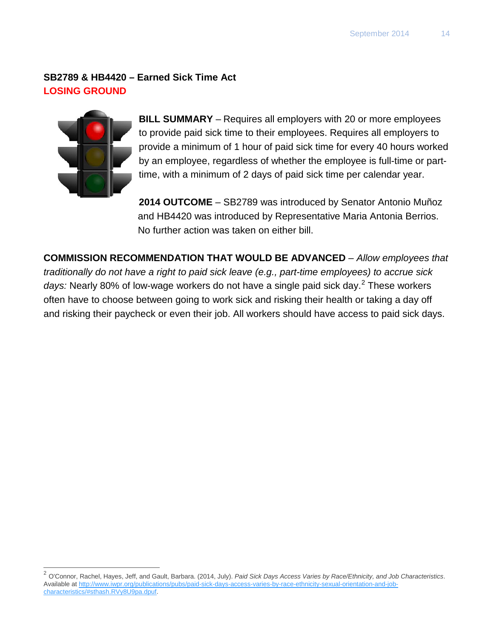#### **SB2789 & HB4420 – Earned Sick Time Act LOSING GROUND**



 $\overline{\phantom{a}}$ 

**BILL SUMMARY** – Requires all employers with 20 or more employees to provide paid sick time to their employees. Requires all employers to provide a minimum of 1 hour of paid sick time for every 40 hours worked by an employee, regardless of whether the employee is full-time or parttime, with a minimum of 2 days of paid sick time per calendar year.

**2014 OUTCOME** – SB2789 was introduced by Senator Antonio Muñoz and HB4420 was introduced by Representative Maria Antonia Berrios. No further action was taken on either bill.

**COMMISSION RECOMMENDATION THAT WOULD BE ADVANCED** *– Allow employees that traditionally do not have a right to paid sick leave (e.g., part-time employees) to accrue sick*  days: Nearly 80% of low-wage workers do not have a single paid sick day.<sup>[2](#page-13-0)</sup> These workers often have to choose between going to work sick and risking their health or taking a day off and risking their paycheck or even their job. All workers should have access to paid sick days.

<span id="page-13-0"></span><sup>2</sup> O'Connor, Rachel, Hayes, Jeff, and Gault, Barbara. (2014, July). *Paid Sick Days Access Varies by Race/Ethnicity, and Job Characteristics*. Available a[t http://www.iwpr.org/publications/pubs/paid-sick-days-access-varies-by-race-ethnicity-sexual-orientation-and-job](http://www.iwpr.org/publications/pubs/paid-sick-days-access-varies-by-race-ethnicity-sexual-orientation-and-job-characteristics/%23sthash.RVy8U9pa.dpuf)[characteristics/#sthash.RVy8U9pa.dpuf.](http://www.iwpr.org/publications/pubs/paid-sick-days-access-varies-by-race-ethnicity-sexual-orientation-and-job-characteristics/%23sthash.RVy8U9pa.dpuf)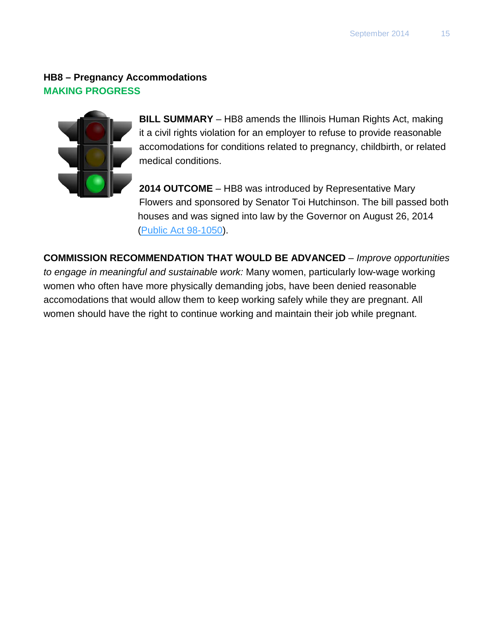# **HB8 – Pregnancy Accommodations MAKING PROGRESS**



**BILL SUMMARY** – HB8 amends the Illinois Human Rights Act, making it a civil rights violation for an employer to refuse to provide reasonable accomodations for conditions related to pregnancy, childbirth, or related medical conditions.

**2014 OUTCOME** – HB8 was introduced by Representative Mary Flowers and sponsored by Senator Toi Hutchinson. The bill passed both houses and was signed into law by the Governor on August 26, 2014 [\(Public Act](http://www.ilga.gov/legislation/publicacts/fulltext.asp?Name=098-1050) 98-1050).

**COMMISSION RECOMMENDATION THAT WOULD BE ADVANCED** *– Improve opportunities to engage in meaningful and sustainable work:* Many women, particularly low-wage working women who often have more physically demanding jobs, have been denied reasonable accomodations that would allow them to keep working safely while they are pregnant. All women should have the right to continue working and maintain their job while pregnant.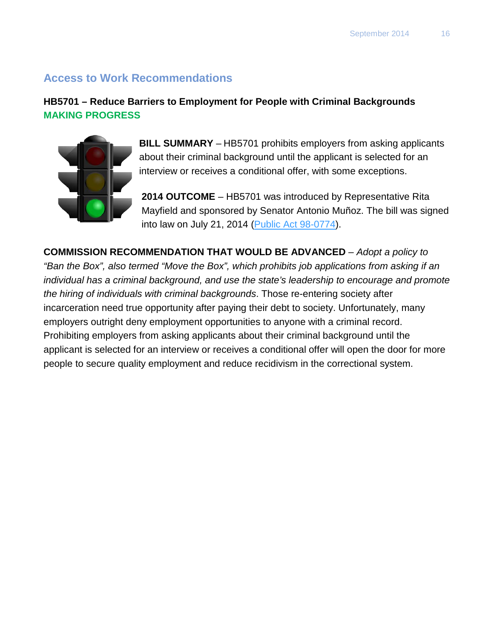## **Access to Work Recommendations**

#### **HB5701 – Reduce Barriers to Employment for People with Criminal Backgrounds MAKING PROGRESS**



**BILL SUMMARY** – HB5701 prohibits employers from asking applicants about their criminal background until the applicant is selected for an interview or receives a conditional offer, with some exceptions.

**2014 OUTCOME** – HB5701 was introduced by Representative Rita Mayfield and sponsored by Senator Antonio Muñoz. The bill was signed into law on July 21, 2014 [\(Public Act 98-0774\)](http://www.ilga.gov/legislation/publicacts/fulltext.asp?Name=098-0774).

**COMMISSION RECOMMENDATION THAT WOULD BE ADVANCED** *– Adopt a policy to "Ban the Box", also termed "Move the Box", which prohibits job applications from asking if an individual has a criminal background, and use the state's leadership to encourage and promote the hiring of individuals with criminal backgrounds*. Those re-entering society after incarceration need true opportunity after paying their debt to society. Unfortunately, many employers outright deny employment opportunities to anyone with a criminal record. Prohibiting employers from asking applicants about their criminal background until the applicant is selected for an interview or receives a conditional offer will open the door for more people to secure quality employment and reduce recidivism in the correctional system.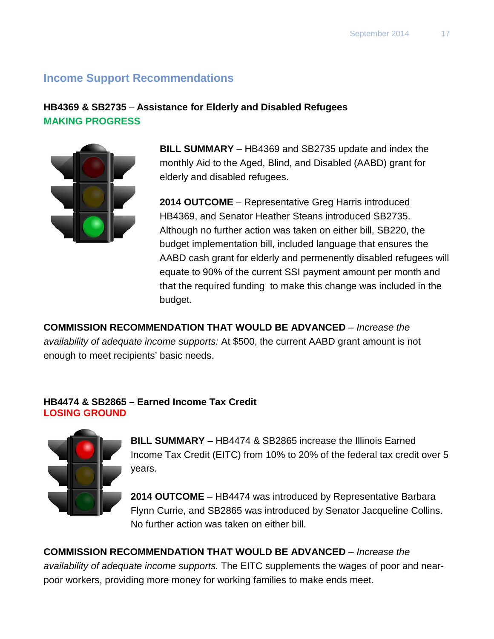# **Income Support Recommendations**

#### **HB4369 & SB2735** – **Assistance for Elderly and Disabled Refugees MAKING PROGRESS**



**BILL SUMMARY** – HB4369 and SB2735 update and index the monthly Aid to the Aged, Blind, and Disabled (AABD) grant for elderly and disabled refugees.

**2014 OUTCOME** – Representative Greg Harris introduced HB4369, and Senator Heather Steans introduced SB2735. Although no further action was taken on either bill, SB220, the budget implementation bill, included language that ensures the AABD cash grant for elderly and permenently disabled refugees will equate to 90% of the current SSI payment amount per month and that the required funding to make this change was included in the budget.

**COMMISSION RECOMMENDATION THAT WOULD BE ADVANCED** *– Increase the availability of adequate income supports:* At \$500, the current AABD grant amount is not enough to meet recipients' basic needs.

#### **HB4474 & SB2865 – Earned Income Tax Credit LOSING GROUND**



**BILL SUMMARY** – HB4474 & SB2865 increase the Illinois Earned Income Tax Credit (EITC) from 10% to 20% of the federal tax credit over 5 years.

**2014 OUTCOME** – HB4474 was introduced by Representative Barbara Flynn Currie, and SB2865 was introduced by Senator Jacqueline Collins. No further action was taken on either bill.

**COMMISSION RECOMMENDATION THAT WOULD BE ADVANCED** *– Increase the availability of adequate income supports.* The EITC supplements the wages of poor and nearpoor workers, providing more money for working families to make ends meet.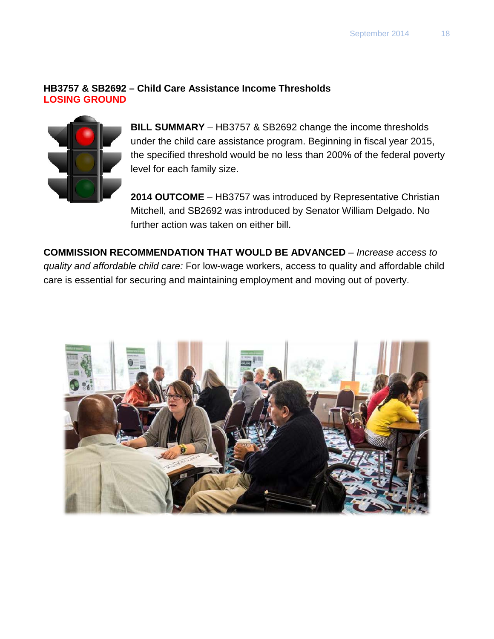#### **HB3757 & SB2692 – Child Care Assistance Income Thresholds LOSING GROUND**



**BILL SUMMARY** – HB3757 & SB2692 change the income thresholds under the child care assistance program. Beginning in fiscal year 2015, the specified threshold would be no less than 200% of the federal poverty level for each family size.

**2014 OUTCOME** – HB3757 was introduced by Representative Christian Mitchell, and SB2692 was introduced by Senator William Delgado. No further action was taken on either bill.

**COMMISSION RECOMMENDATION THAT WOULD BE ADVANCED** *– Increase access to quality and affordable child care:* For low-wage workers, access to quality and affordable child care is essential for securing and maintaining employment and moving out of poverty.

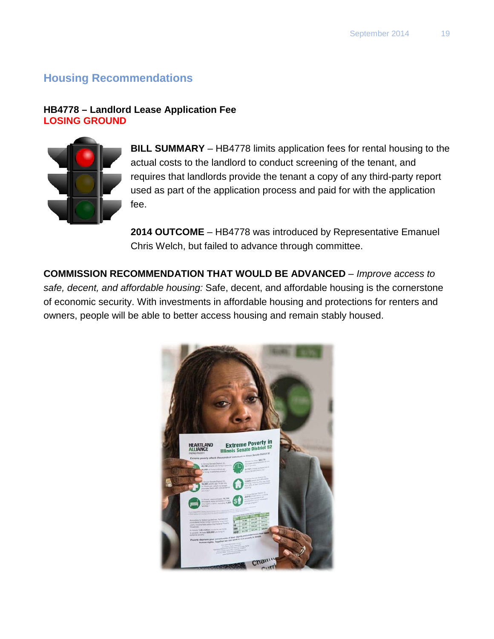# **Housing Recommendations**

#### **HB4778 – Landlord Lease Application Fee LOSING GROUND**



**BILL SUMMARY** – HB4778 limits application fees for rental housing to the actual costs to the landlord to conduct screening of the tenant, and requires that landlords provide the tenant a copy of any third-party report used as part of the application process and paid for with the application fee.

**2014 OUTCOME** – HB4778 was introduced by Representative Emanuel Chris Welch, but failed to advance through committee.

**COMMISSION RECOMMENDATION THAT WOULD BE ADVANCED** *– Improve access to safe, decent, and affordable housing:* Safe, decent, and affordable housing is the cornerstone of economic security. With investments in affordable housing and protections for renters and owners, people will be able to better access housing and remain stably housed.

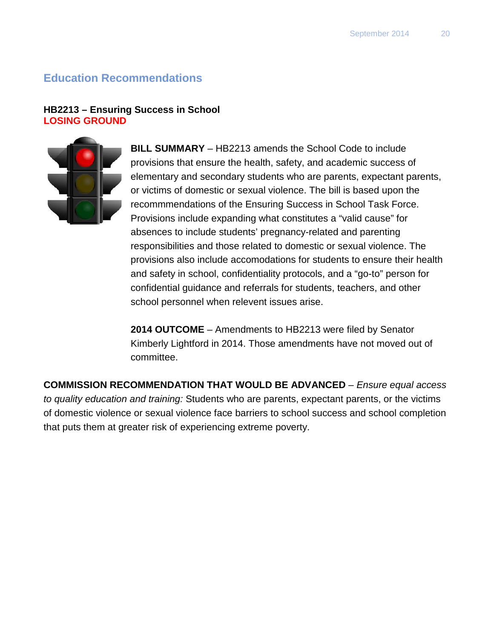# **Education Recommendations**

#### **HB2213 – Ensuring Success in School LOSING GROUND**



**BILL SUMMARY** – HB2213 amends the School Code to include provisions that ensure the health, safety, and academic success of elementary and secondary students who are parents, expectant parents, or victims of domestic or sexual violence. The bill is based upon the recommmendations of the Ensuring Success in School Task Force. Provisions include expanding what constitutes a "valid cause" for absences to include students' pregnancy-related and parenting responsibilities and those related to domestic or sexual violence. The provisions also include accomodations for students to ensure their health and safety in school, confidentiality protocols, and a "go-to" person for confidential guidance and referrals for students, teachers, and other school personnel when relevent issues arise.

**2014 OUTCOME** – Amendments to HB2213 were filed by Senator Kimberly Lightford in 2014. Those amendments have not moved out of committee.

**COMMISSION RECOMMENDATION THAT WOULD BE ADVANCED** *– Ensure equal access to quality education and training:* Students who are parents, expectant parents, or the victims of domestic violence or sexual violence face barriers to school success and school completion that puts them at greater risk of experiencing extreme poverty.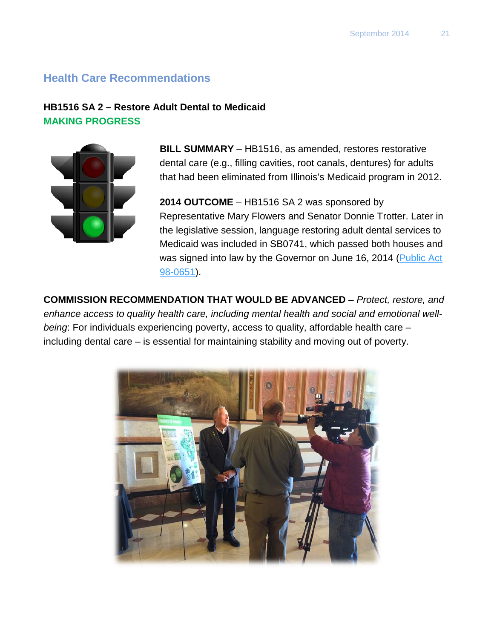## **Health Care Recommendations**

#### **HB1516 SA 2 – Restore Adult Dental to Medicaid MAKING PROGRESS**



**BILL SUMMARY** – HB1516, as amended, restores restorative dental care (e.g., filling cavities, root canals, dentures) for adults that had been eliminated from Illinois's Medicaid program in 2012.

**2014 OUTCOME** – HB1516 SA 2 was sponsored by Representative Mary Flowers and Senator Donnie Trotter. Later in the legislative session, language restoring adult dental services to Medicaid was included in SB0741, which passed both houses and was signed into law by the Governor on June 16, 2014 (Public Act [98-0651\)](http://www.ilga.gov/legislation/publicacts/fulltext.asp?Name=098-0651).

**COMMISSION RECOMMENDATION THAT WOULD BE ADVANCED** *– Protect, restore, and enhance access to quality health care, including mental health and social and emotional wellbeing*: For individuals experiencing poverty, access to quality, affordable health care – including dental care – is essential for maintaining stability and moving out of poverty.

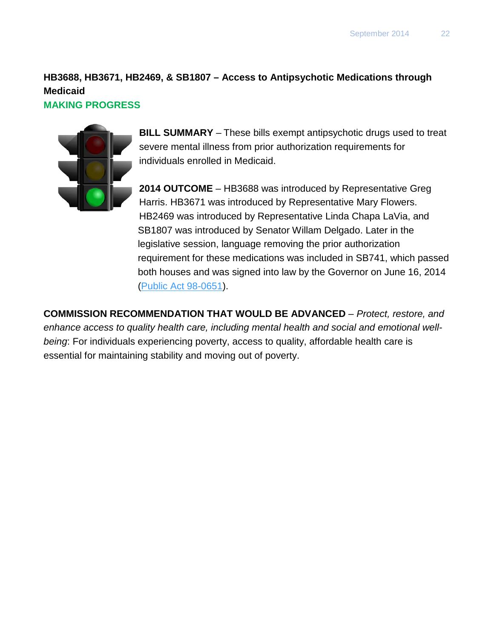# **HB3688, HB3671, HB2469, & SB1807 – Access to Antipsychotic Medications through Medicaid**

#### **MAKING PROGRESS**



**BILL SUMMARY** – These bills exempt antipsychotic drugs used to treat severe mental illness from prior authorization requirements for individuals enrolled in Medicaid.

**2014 OUTCOME** – HB3688 was introduced by Representative Greg Harris. HB3671 was introduced by Representative Mary Flowers. HB2469 was introduced by Representative Linda Chapa LaVia, and SB1807 was introduced by Senator Willam Delgado. Later in the legislative session, language removing the prior authorization requirement for these medications was included in SB741, which passed both houses and was signed into law by the Governor on June 16, 2014 [\(Public Act 98-0651\)](http://www.ilga.gov/legislation/publicacts/fulltext.asp?Name=098-0651).

**COMMISSION RECOMMENDATION THAT WOULD BE ADVANCED** *– Protect, restore, and enhance access to quality health care, including mental health and social and emotional wellbeing*: For individuals experiencing poverty, access to quality, affordable health care is essential for maintaining stability and moving out of poverty.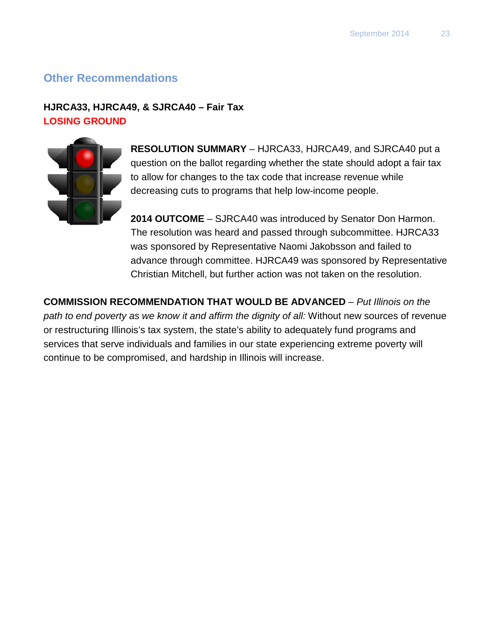# **Other Recommendations**

#### **HJRCA33, HJRCA49, & SJRCA40 – Fair Tax LOSING GROUND**



**RESOLUTION SUMMARY** – HJRCA33, HJRCA49, and SJRCA40 put a question on the ballot regarding whether the state should adopt a fair tax to allow for changes to the tax code that increase revenue while decreasing cuts to programs that help low-income people.

**2014 OUTCOME** – SJRCA40 was introduced by Senator Don Harmon. The resolution was heard and passed through subcommittee. HJRCA33 was sponsored by Representative Naomi Jakobsson and failed to advance through committee. HJRCA49 was sponsored by Representative Christian Mitchell, but further action was not taken on the resolution.

**COMMISSION RECOMMENDATION THAT WOULD BE ADVANCED** *– Put Illinois on the path to end poverty as we know it and affirm the dignity of all:* Without new sources of revenue or restructuring Illinois's tax system, the state's ability to adequately fund programs and services that serve individuals and families in our state experiencing extreme poverty will continue to be compromised, and hardship in Illinois will increase.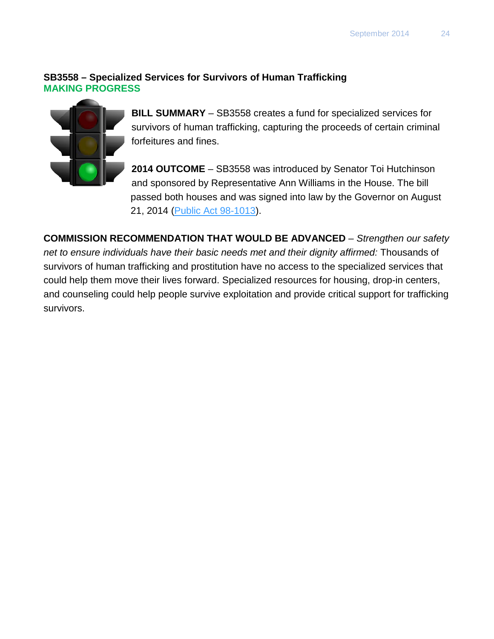#### **SB3558 – Specialized Services for Survivors of Human Trafficking MAKING PROGRESS**



**BILL SUMMARY** – SB3558 creates a fund for specialized services for survivors of human trafficking, capturing the proceeds of certain criminal forfeitures and fines.

**2014 OUTCOME** – SB3558 was introduced by Senator Toi Hutchinson and sponsored by Representative Ann Williams in the House. The bill passed both houses and was signed into law by the Governor on August 21, 2014 [\(Public Act 98-1013\)](http://www.ilga.gov/legislation/publicacts/fulltext.asp?Name=098-1013).

**COMMISSION RECOMMENDATION THAT WOULD BE ADVANCED** *– Strengthen our safety net to ensure individuals have their basic needs met and their dignity affirmed:* Thousands of survivors of human trafficking and prostitution have no access to the specialized services that could help them move their lives forward. Specialized resources for housing, drop-in centers, and counseling could help people survive exploitation and provide critical support for trafficking survivors.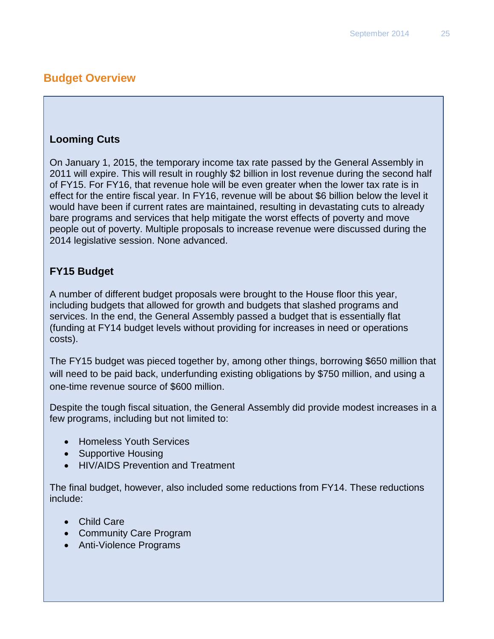# **Budget Overview**

## **Looming Cuts**

On January 1, 2015, the temporary income tax rate passed by the General Assembly in 2011 will expire. This will result in roughly \$2 billion in lost revenue during the second half of FY15. For FY16, that revenue hole will be even greater when the lower tax rate is in effect for the entire fiscal year. In FY16, revenue will be about \$6 billion below the level it would have been if current rates are maintained, resulting in devastating cuts to already bare programs and services that help mitigate the worst effects of poverty and move people out of poverty. Multiple proposals to increase revenue were discussed during the 2014 legislative session. None advanced.

# **FY15 Budget**

A number of different budget proposals were brought to the House floor this year, including budgets that allowed for growth and budgets that slashed programs and services. In the end, the General Assembly passed a budget that is essentially flat (funding at FY14 budget levels without providing for increases in need or operations costs).

The FY15 budget was pieced together by, among other things, borrowing \$650 million that will need to be paid back, underfunding existing obligations by \$750 million, and using a one-time revenue source of \$600 million.

Despite the tough fiscal situation, the General Assembly did provide modest increases in a few programs, including but not limited to:

- Homeless Youth Services
- Supportive Housing
- HIV/AIDS Prevention and Treatment

The final budget, however, also included some reductions from FY14. These reductions include:

- Child Care
- Community Care Program
- Anti-Violence Programs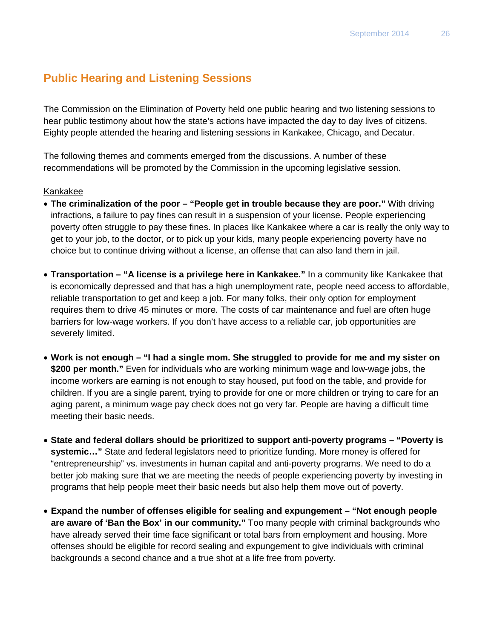# **Public Hearing and Listening Sessions**

The Commission on the Elimination of Poverty held one public hearing and two listening sessions to hear public testimony about how the state's actions have impacted the day to day lives of citizens. Eighty people attended the hearing and listening sessions in Kankakee, Chicago, and Decatur.

The following themes and comments emerged from the discussions. A number of these recommendations will be promoted by the Commission in the upcoming legislative session.

#### Kankakee

- **The criminalization of the poor – "People get in trouble because they are poor."** With driving infractions, a failure to pay fines can result in a suspension of your license. People experiencing poverty often struggle to pay these fines. In places like Kankakee where a car is really the only way to get to your job, to the doctor, or to pick up your kids, many people experiencing poverty have no choice but to continue driving without a license, an offense that can also land them in jail.
- **Transportation – "A license is a privilege here in Kankakee."** In a community like Kankakee that is economically depressed and that has a high unemployment rate, people need access to affordable, reliable transportation to get and keep a job. For many folks, their only option for employment requires them to drive 45 minutes or more. The costs of car maintenance and fuel are often huge barriers for low-wage workers. If you don't have access to a reliable car, job opportunities are severely limited.
- **Work is not enough – "I had a single mom. She struggled to provide for me and my sister on \$200 per month."** Even for individuals who are working minimum wage and low-wage jobs, the income workers are earning is not enough to stay housed, put food on the table, and provide for children. If you are a single parent, trying to provide for one or more children or trying to care for an aging parent, a minimum wage pay check does not go very far. People are having a difficult time meeting their basic needs.
- **State and federal dollars should be prioritized to support anti-poverty programs – "Poverty is systemic…"** State and federal legislators need to prioritize funding. More money is offered for "entrepreneurship" vs. investments in human capital and anti-poverty programs. We need to do a better job making sure that we are meeting the needs of people experiencing poverty by investing in programs that help people meet their basic needs but also help them move out of poverty.
- **Expand the number of offenses eligible for sealing and expungement – "Not enough people are aware of 'Ban the Box' in our community."** Too many people with criminal backgrounds who have already served their time face significant or total bars from employment and housing. More offenses should be eligible for record sealing and expungement to give individuals with criminal backgrounds a second chance and a true shot at a life free from poverty.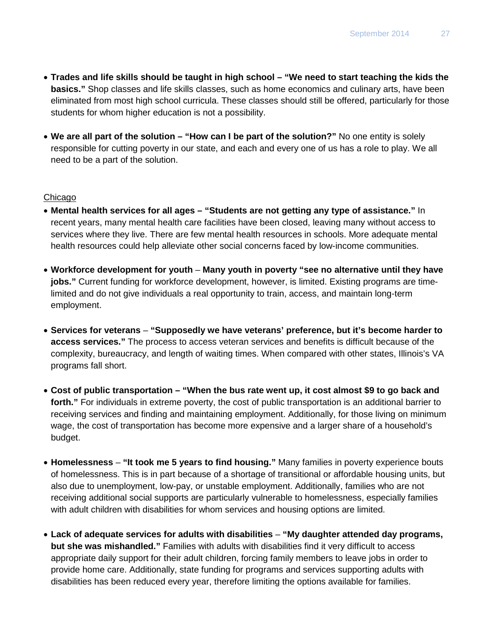- **Trades and life skills should be taught in high school – "We need to start teaching the kids the basics."** Shop classes and life skills classes, such as home economics and culinary arts, have been eliminated from most high school curricula. These classes should still be offered, particularly for those students for whom higher education is not a possibility.
- **We are all part of the solution – "How can I be part of the solution?"** No one entity is solely responsible for cutting poverty in our state, and each and every one of us has a role to play. We all need to be a part of the solution.

#### Chicago

- **Mental health services for all ages – "Students are not getting any type of assistance."** In recent years, many mental health care facilities have been closed, leaving many without access to services where they live. There are few mental health resources in schools. More adequate mental health resources could help alleviate other social concerns faced by low-income communities.
- **Workforce development for youth Many youth in poverty "see no alternative until they have jobs."** Current funding for workforce development, however, is limited. Existing programs are timelimited and do not give individuals a real opportunity to train, access, and maintain long-term employment.
- **Services for veterans "Supposedly we have veterans' preference, but it's become harder to access services."** The process to access veteran services and benefits is difficult because of the complexity, bureaucracy, and length of waiting times. When compared with other states, Illinois's VA programs fall short.
- **Cost of public transportation – "When the bus rate went up, it cost almost \$9 to go back and forth."** For individuals in extreme poverty, the cost of public transportation is an additional barrier to receiving services and finding and maintaining employment. Additionally, for those living on minimum wage, the cost of transportation has become more expensive and a larger share of a household's budget.
- **Homelessness "It took me 5 years to find housing."** Many families in poverty experience bouts of homelessness. This is in part because of a shortage of transitional or affordable housing units, but also due to unemployment, low-pay, or unstable employment. Additionally, families who are not receiving additional social supports are particularly vulnerable to homelessness, especially families with adult children with disabilities for whom services and housing options are limited.
- **Lack of adequate services for adults with disabilities "My daughter attended day programs, but she was mishandled."** Families with adults with disabilities find it very difficult to access appropriate daily support for their adult children, forcing family members to leave jobs in order to provide home care. Additionally, state funding for programs and services supporting adults with disabilities has been reduced every year, therefore limiting the options available for families.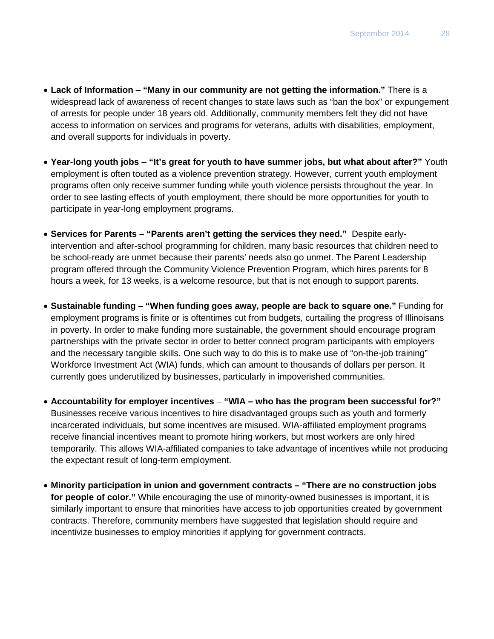- **Lack of Information "Many in our community are not getting the information."** There is a widespread lack of awareness of recent changes to state laws such as "ban the box" or expungement of arrests for people under 18 years old. Additionally, community members felt they did not have access to information on services and programs for veterans, adults with disabilities, employment, and overall supports for individuals in poverty.
- **Year-long youth jobs "It's great for youth to have summer jobs, but what about after?"** Youth employment is often touted as a violence prevention strategy. However, current youth employment programs often only receive summer funding while youth violence persists throughout the year. In order to see lasting effects of youth employment, there should be more opportunities for youth to participate in year-long employment programs.
- **Services for Parents – "Parents aren't getting the services they need."** Despite earlyintervention and after-school programming for children, many basic resources that children need to be school-ready are unmet because their parents' needs also go unmet. The Parent Leadership program offered through the Community Violence Prevention Program, which hires parents for 8 hours a week, for 13 weeks, is a welcome resource, but that is not enough to support parents.
- **Sustainable funding – "When funding goes away, people are back to square one."** Funding for employment programs is finite or is oftentimes cut from budgets, curtailing the progress of Illinoisans in poverty. In order to make funding more sustainable, the government should encourage program partnerships with the private sector in order to better connect program participants with employers and the necessary tangible skills. One such way to do this is to make use of "on-the-job training" Workforce Investment Act (WIA) funds, which can amount to thousands of dollars per person. It currently goes underutilized by businesses, particularly in impoverished communities.
- **Accountability for employer incentives "WIA – who has the program been successful for?"** Businesses receive various incentives to hire disadvantaged groups such as youth and formerly incarcerated individuals, but some incentives are misused. WIA-affiliated employment programs receive financial incentives meant to promote hiring workers, but most workers are only hired temporarily. This allows WIA-affiliated companies to take advantage of incentives while not producing the expectant result of long-term employment.
- **Minority participation in union and government contracts – "There are no construction jobs for people of color."** While encouraging the use of minority-owned businesses is important, it is similarly important to ensure that minorities have access to job opportunities created by government contracts. Therefore, community members have suggested that legislation should require and incentivize businesses to employ minorities if applying for government contracts.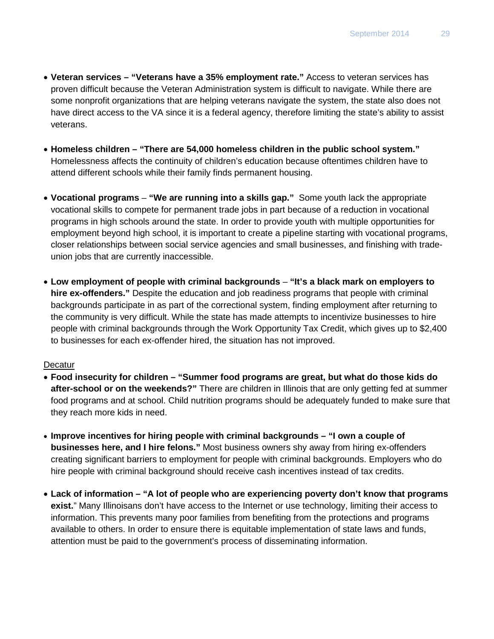- **Veteran services – "Veterans have a 35% employment rate."** Access to veteran services has proven difficult because the Veteran Administration system is difficult to navigate. While there are some nonprofit organizations that are helping veterans navigate the system, the state also does not have direct access to the VA since it is a federal agency, therefore limiting the state's ability to assist veterans.
- **Homeless children – "There are 54,000 homeless children in the public school system."** Homelessness affects the continuity of children's education because oftentimes children have to attend different schools while their family finds permanent housing.
- **Vocational programs "We are running into a skills gap."** Some youth lack the appropriate vocational skills to compete for permanent trade jobs in part because of a reduction in vocational programs in high schools around the state. In order to provide youth with multiple opportunities for employment beyond high school, it is important to create a pipeline starting with vocational programs, closer relationships between social service agencies and small businesses, and finishing with tradeunion jobs that are currently inaccessible.
- **Low employment of people with criminal backgrounds "It's a black mark on employers to hire ex-offenders."** Despite the education and job readiness programs that people with criminal backgrounds participate in as part of the correctional system, finding employment after returning to the community is very difficult. While the state has made attempts to incentivize businesses to hire people with criminal backgrounds through the Work Opportunity Tax Credit, which gives up to \$2,400 to businesses for each ex-offender hired, the situation has not improved.

#### **Decatur**

- **Food insecurity for children – "Summer food programs are great, but what do those kids do after-school or on the weekends?"** There are children in Illinois that are only getting fed at summer food programs and at school. Child nutrition programs should be adequately funded to make sure that they reach more kids in need.
- **Improve incentives for hiring people with criminal backgrounds – "I own a couple of businesses here, and I hire felons."** Most business owners shy away from hiring ex-offenders creating significant barriers to employment for people with criminal backgrounds. Employers who do hire people with criminal background should receive cash incentives instead of tax credits.
- **Lack of information – "A lot of people who are experiencing poverty don't know that programs**  exist." Many Illinoisans don't have access to the Internet or use technology, limiting their access to information. This prevents many poor families from benefiting from the protections and programs available to others. In order to ensure there is equitable implementation of state laws and funds, attention must be paid to the government's process of disseminating information.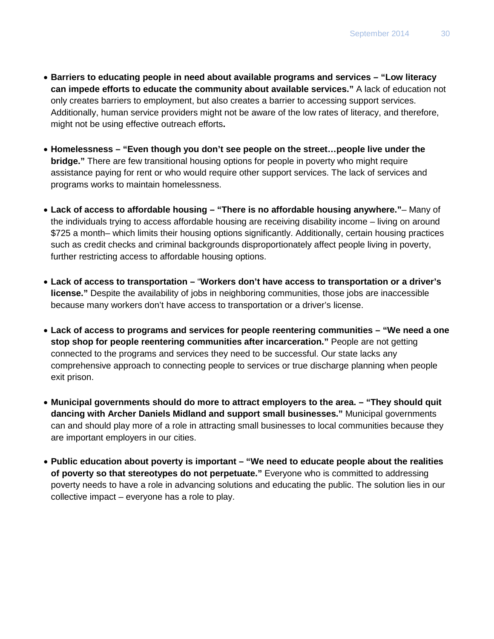- **Barriers to educating people in need about available programs and services – "Low literacy can impede efforts to educate the community about available services."** A lack of education not only creates barriers to employment, but also creates a barrier to accessing support services. Additionally, human service providers might not be aware of the low rates of literacy, and therefore, might not be using effective outreach efforts**.**
- **Homelessness – "Even though you don't see people on the street…people live under the bridge."** There are few transitional housing options for people in poverty who might require assistance paying for rent or who would require other support services. The lack of services and programs works to maintain homelessness.
- **Lack of access to affordable housing – "There is no affordable housing anywhere."** Many of the individuals trying to access affordable housing are receiving disability income – living on around \$725 a month– which limits their housing options significantly. Additionally, certain housing practices such as credit checks and criminal backgrounds disproportionately affect people living in poverty, further restricting access to affordable housing options.
- **Lack of access to transportation –** "**Workers don't have access to transportation or a driver's license."** Despite the availability of jobs in neighboring communities, those jobs are inaccessible because many workers don't have access to transportation or a driver's license.
- **Lack of access to programs and services for people reentering communities – "We need a one stop shop for people reentering communities after incarceration."** People are not getting connected to the programs and services they need to be successful. Our state lacks any comprehensive approach to connecting people to services or true discharge planning when people exit prison.
- **Municipal governments should do more to attract employers to the area. – "They should quit dancing with Archer Daniels Midland and support small businesses."** Municipal governments can and should play more of a role in attracting small businesses to local communities because they are important employers in our cities.
- **Public education about poverty is important – "We need to educate people about the realities of poverty so that stereotypes do not perpetuate."** Everyone who is committed to addressing poverty needs to have a role in advancing solutions and educating the public. The solution lies in our collective impact – everyone has a role to play.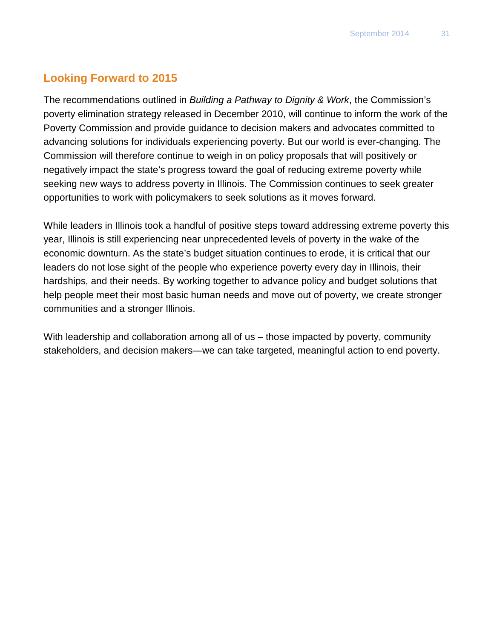# **Looking Forward to 2015**

The recommendations outlined in *Building a Pathway to Dignity & Work*, the Commission's poverty elimination strategy released in December 2010, will continue to inform the work of the Poverty Commission and provide guidance to decision makers and advocates committed to advancing solutions for individuals experiencing poverty. But our world is ever-changing. The Commission will therefore continue to weigh in on policy proposals that will positively or negatively impact the state's progress toward the goal of reducing extreme poverty while seeking new ways to address poverty in Illinois. The Commission continues to seek greater opportunities to work with policymakers to seek solutions as it moves forward.

While leaders in Illinois took a handful of positive steps toward addressing extreme poverty this year, Illinois is still experiencing near unprecedented levels of poverty in the wake of the economic downturn. As the state's budget situation continues to erode, it is critical that our leaders do not lose sight of the people who experience poverty every day in Illinois, their hardships, and their needs. By working together to advance policy and budget solutions that help people meet their most basic human needs and move out of poverty, we create stronger communities and a stronger Illinois.

With leadership and collaboration among all of us – those impacted by poverty, community stakeholders, and decision makers—we can take targeted, meaningful action to end poverty.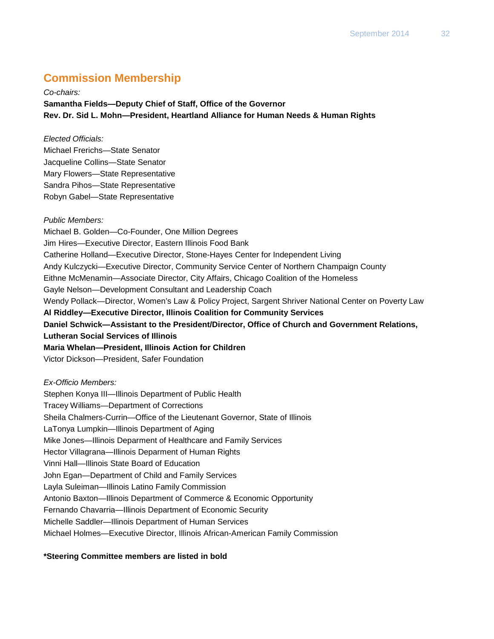# **Commission Membership**

*Co-chairs:* **Samantha Fields—Deputy Chief of Staff, Office of the Governor Rev. Dr. Sid L. Mohn—President, Heartland Alliance for Human Needs & Human Rights**

#### *Elected Officials:*

Michael Frerichs—State Senator Jacqueline Collins—State Senator Mary Flowers—State Representative Sandra Pihos—State Representative Robyn Gabel—State Representative

#### *Public Members:*

Michael B. Golden—Co-Founder, One Million Degrees Jim Hires—Executive Director, Eastern Illinois Food Bank Catherine Holland—Executive Director, Stone-Hayes Center for Independent Living Andy Kulczycki—Executive Director, Community Service Center of Northern Champaign County Eithne McMenamin—Associate Director, City Affairs, Chicago Coalition of the Homeless Gayle Nelson—Development Consultant and Leadership Coach Wendy Pollack—Director, Women's Law & Policy Project, Sargent Shriver National Center on Poverty Law **Al Riddley—Executive Director, Illinois Coalition for Community Services Daniel Schwick—Assistant to the President/Director, Office of Church and Government Relations, Lutheran Social Services of Illinois Maria Whelan—President, Illinois Action for Children** Victor Dickson—President, Safer Foundation

#### *Ex-Officio Members:*

Stephen Konya III—Illinois Department of Public Health Tracey Williams—Department of Corrections Sheila Chalmers-Currin—Office of the Lieutenant Governor, State of Illinois LaTonya Lumpkin—Illinois Department of Aging Mike Jones—Illinois Deparment of Healthcare and Family Services Hector Villagrana—Illinois Deparment of Human Rights Vinni Hall—Illinois State Board of Education John Egan—Department of Child and Family Services Layla Suleiman—Illinois Latino Family Commission Antonio Baxton—Illinois Department of Commerce & Economic Opportunity Fernando Chavarria—Illinois Department of Economic Security Michelle Saddler—Illinois Department of Human Services Michael Holmes—Executive Director, Illinois African-American Family Commission

#### **\*Steering Committee members are listed in bold**